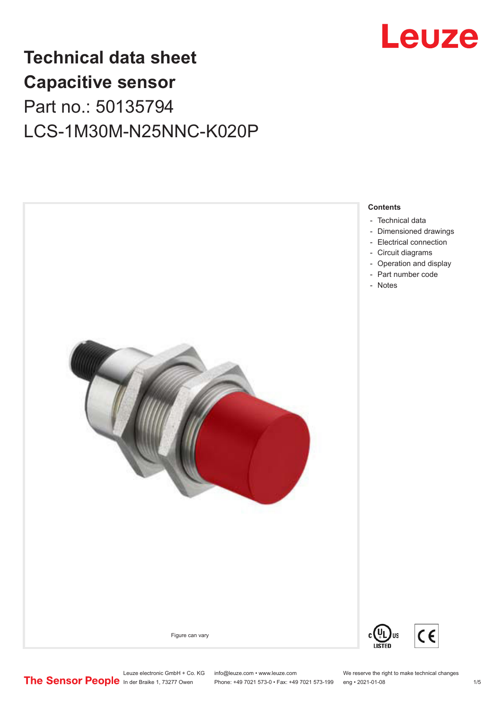

## **Technical data sheet Capacitive sensor** Part no.: 50135794 LCS-1M30M-N25NNC-K020P



Leuze electronic GmbH + Co. KG info@leuze.com • www.leuze.com We reserve the right to make technical changes<br> **The Sensor People** in der Braike 1, 73277 Owen Phone: +49 7021 573-0 • Fax: +49 7021 573-199 eng • 2021-01-08

Phone: +49 7021 573-0 • Fax: +49 7021 573-199 eng • 2021-01-08 1/5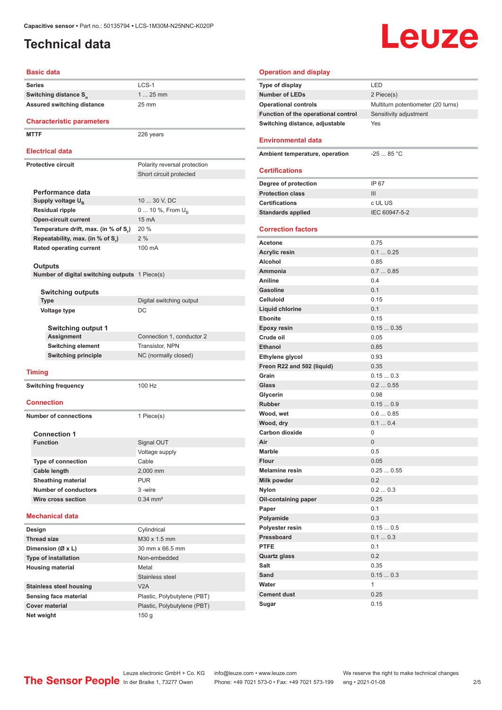### <span id="page-1-0"></span>**Technical data**

# Leuze

#### **Basic data**

| Paon, uata                                     |                              |
|------------------------------------------------|------------------------------|
| <b>Series</b>                                  | LCS-1                        |
| Switching distance S <sub>n</sub>              | $125$ mm                     |
| <b>Assured switching distance</b>              | 25 mm                        |
| <b>Characteristic parameters</b>               |                              |
| <b>MTTF</b>                                    | 226 years                    |
| <b>Electrical data</b>                         |                              |
| <b>Protective circuit</b>                      | Polarity reversal protection |
|                                                | Short circuit protected      |
|                                                |                              |
| Performance data                               |                              |
| Supply voltage U <sub>B</sub>                  | 10  30 V, DC                 |
| <b>Residual ripple</b>                         | 0  10 %, From U <sub>B</sub> |
| <b>Open-circuit current</b>                    | 15 mA                        |
| Temperature drift, max. (in % of S.)           | 20 %                         |
| Repeatability, max. (in % of S.)               | 2%                           |
| <b>Rated operating current</b>                 | 100 mA                       |
|                                                |                              |
| <b>Outputs</b>                                 |                              |
| Number of digital switching outputs 1 Piece(s) |                              |
|                                                |                              |
| <b>Switching outputs</b><br>Type               | Digital switching output     |
| <b>Voltage type</b>                            | DC                           |
|                                                |                              |
| <b>Switching output 1</b>                      |                              |
| <b>Assignment</b>                              | Connection 1, conductor 2    |
| <b>Switching element</b>                       | Transistor, NPN              |
| <b>Switching principle</b>                     | NC (normally closed)         |
| <b>Timing</b>                                  |                              |
|                                                | 100 Hz                       |
| <b>Switching frequency</b>                     |                              |
| <b>Connection</b>                              |                              |
| <b>Number of connections</b>                   |                              |
|                                                | 1 Piece(s)                   |
| <b>Connection 1</b>                            |                              |
| <b>Function</b>                                | Signal OUT                   |
|                                                | Voltage supply               |
| <b>Type of connection</b>                      | Cable                        |
| Cable length                                   | 2,000 mm                     |
| <b>Sheathing material</b>                      | <b>PUR</b>                   |
| <b>Number of conductors</b>                    | 3-wire                       |
| Wire cross section                             | $0.34$ mm <sup>2</sup>       |
|                                                |                              |
| <b>Mechanical data</b>                         |                              |
| Design                                         | Cylindrical                  |
| <b>Thread size</b>                             | M30 x 1.5 mm                 |
| Dimension (Ø x L)                              | 30 mm x 66.5 mm              |
| Type of installation                           | Non-embedded                 |
| <b>Housing material</b>                        | Metal                        |
|                                                | Stainless steel              |
| <b>Stainless steel housing</b>                 | V2A                          |
| Sensing face material                          | Plastic, Polybutylene (PBT)  |
| <b>Cover material</b>                          | Plastic, Polybutylene (PBT)  |

| <b>Operation and display</b>        |                                    |
|-------------------------------------|------------------------------------|
| Type of display                     | LED                                |
| <b>Number of LEDs</b>               | 2 Piece(s)                         |
| <b>Operational controls</b>         | Multiturn potentiometer (20 turns) |
| Function of the operational control | Sensitivity adjustment             |
| Switching distance, adjustable      | Yes                                |
|                                     |                                    |
| <b>Environmental data</b>           |                                    |
| Ambient temperature, operation      | $-2585 °C$                         |
|                                     |                                    |
| <b>Certifications</b>               |                                    |
| Degree of protection                | IP 67                              |
| <b>Protection class</b>             | III                                |
| <b>Certifications</b>               | c UL US                            |
| <b>Standards applied</b>            | IEC 60947-5-2                      |
|                                     |                                    |
| <b>Correction factors</b>           |                                    |
| Acetone                             | 0.75                               |
| <b>Acrylic resin</b>                | 0.10.25                            |
| Alcohol                             | 0.85                               |
| Ammonia                             | 0.70.85                            |
| Aniline                             | 0.4                                |
| <b>Gasoline</b>                     | 0.1                                |
| Celluloid                           | 0.15                               |
| <b>Liquid chlorine</b>              | 0.1                                |
| <b>Ebonite</b>                      | 0.15                               |
| <b>Epoxy resin</b>                  | 0.150.35                           |
| Crude oil                           | 0.05                               |
| <b>Ethanol</b>                      | 0.85                               |
| Ethylene glycol                     | 0.93                               |
| Freon R22 and 502 (liquid)<br>Grain | 0.35<br>0.150.3                    |
| Glass                               | 0.20.55                            |
| Glycerin                            | 0.98                               |
| <b>Rubber</b>                       | 0.150.9                            |
| Wood, wet                           | 0.60.85                            |
| Wood, dry                           | 0.10.4                             |
| <b>Carbon dioxide</b>               | 0                                  |
| Air                                 | 0                                  |
| Marble                              | 0.5                                |
| <b>Flour</b>                        | 0.05                               |
| <b>Melamine resin</b>               | 0.250.55                           |
| <b>Milk powder</b>                  | 0.2                                |
| <b>Nylon</b>                        | 0.20.3                             |
| Oil-containing paper                | 0.25                               |
| Paper                               | 0.1                                |
| Polyamide                           | 0.3                                |
| Polyester resin                     | 0.150.5                            |
| Pressboard                          | 0.10.3                             |
| <b>PTFE</b>                         | 0.1                                |
| <b>Quartz glass</b>                 | 0.2                                |
| Salt                                | 0.35                               |
| Sand                                | 0.150.3                            |
| Water                               | 1                                  |
| <b>Cement dust</b>                  | 0.25                               |
| Sugar                               | 0.15                               |

**Net weight** 150 g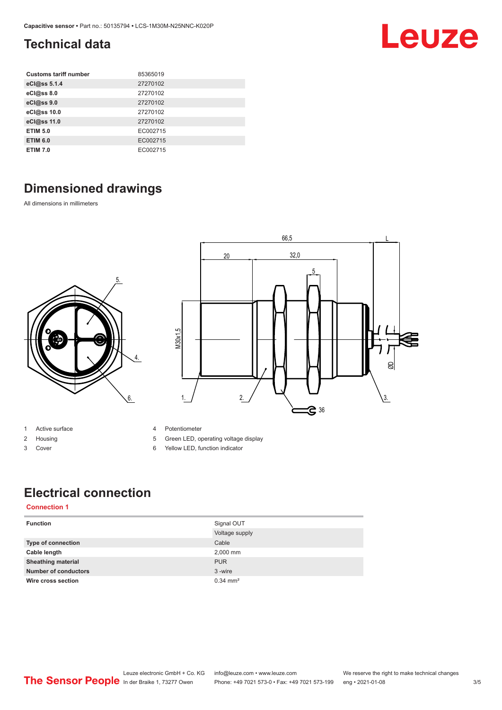### <span id="page-2-0"></span>**Technical data**

| <b>Customs tariff number</b> | 85365019 |
|------------------------------|----------|
| eCl@ss 5.1.4                 | 27270102 |
| eCl@ss 8.0                   | 27270102 |
| eCl@ss 9.0                   | 27270102 |
| eCl@ss 10.0                  | 27270102 |
| eCl@ss 11.0                  | 27270102 |
| <b>ETIM 5.0</b>              | EC002715 |
| <b>ETIM 6.0</b>              | EC002715 |
| <b>ETIM 7.0</b>              | EC002715 |

## **Dimensioned drawings**

All dimensions in millimeters





- 1 Active surface
- 2 Housing
- 3 Cover
- 4 Potentiometer
- 5 Green LED, operating voltage display
- 6 Yellow LED, function indicator

### **Electrical connection**

#### **Connection 1**

| <b>Function</b>             | Signal OUT            |
|-----------------------------|-----------------------|
|                             | Voltage supply        |
| <b>Type of connection</b>   | Cable                 |
| Cable length                | 2,000 mm              |
| <b>Sheathing material</b>   | <b>PUR</b>            |
| <b>Number of conductors</b> | 3-wire                |
| Wire cross section          | $0.34 \, \text{mm}^2$ |

Leuze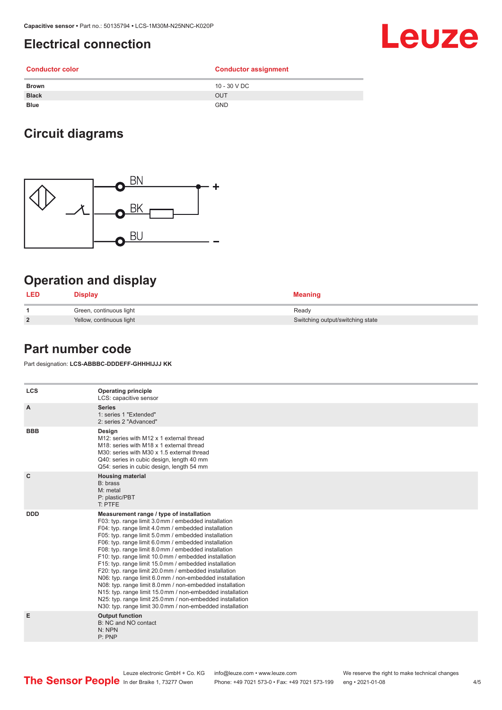#### <span id="page-3-0"></span>**Electrical connection**

## Leuze

#### **Conductor color Conductor assignment Brown** 10 - 30 V DC **Black** OUT **Blue** GND

#### **Circuit diagrams**



#### **Operation and display**

| <b>LED</b>     | <b>Display</b>           | <b>Meaning</b>                   |
|----------------|--------------------------|----------------------------------|
|                | Green, continuous light  | Ready                            |
| $\overline{2}$ | Yellow, continuous light | Switching output/switching state |

#### **Part number code**

Part designation: **LCS-ABBBC-DDDEFF-GHHHIJJJ KK**

| <b>LCS</b>   | <b>Operating principle</b><br>LCS: capacitive sensor                                                                                                                                                                                                                                                                                                                                                                                                                                                                                                                                                                                                                                                                                                                                                                       |
|--------------|----------------------------------------------------------------------------------------------------------------------------------------------------------------------------------------------------------------------------------------------------------------------------------------------------------------------------------------------------------------------------------------------------------------------------------------------------------------------------------------------------------------------------------------------------------------------------------------------------------------------------------------------------------------------------------------------------------------------------------------------------------------------------------------------------------------------------|
| A            | <b>Series</b><br>1: series 1 "Extended"<br>2: series 2 "Advanced"                                                                                                                                                                                                                                                                                                                                                                                                                                                                                                                                                                                                                                                                                                                                                          |
| <b>BBB</b>   | Design<br>M12: series with M12 x 1 external thread<br>M18: series with M18 x 1 external thread<br>M30: series with M30 x 1.5 external thread<br>Q40: series in cubic design, length 40 mm<br>Q54: series in cubic design, length 54 mm                                                                                                                                                                                                                                                                                                                                                                                                                                                                                                                                                                                     |
| $\mathbf{C}$ | <b>Housing material</b><br>B: brass<br>M: metal<br>P: plastic/PBT<br>T: PTFE                                                                                                                                                                                                                                                                                                                                                                                                                                                                                                                                                                                                                                                                                                                                               |
| <b>DDD</b>   | Measurement range / type of installation<br>F03: typ. range limit 3.0 mm / embedded installation<br>F04: typ. range limit 4.0 mm / embedded installation<br>F05: typ. range limit 5.0 mm / embedded installation<br>F06: typ. range limit 6.0 mm / embedded installation<br>F08: typ. range limit 8.0 mm / embedded installation<br>F10: typ. range limit 10.0 mm / embedded installation<br>F15: typ. range limit 15.0 mm / embedded installation<br>F20: typ. range limit 20.0 mm / embedded installation<br>N06: typ. range limit 6.0 mm / non-embedded installation<br>N08: typ. range limit 8.0 mm / non-embedded installation<br>N15: typ. range limit 15.0 mm / non-embedded installation<br>N25: typ. range limit 25.0 mm / non-embedded installation<br>N30: typ. range limit 30.0 mm / non-embedded installation |
| Е            | <b>Output function</b><br>B: NC and NO contact<br>N: NPN<br>P: PNP                                                                                                                                                                                                                                                                                                                                                                                                                                                                                                                                                                                                                                                                                                                                                         |